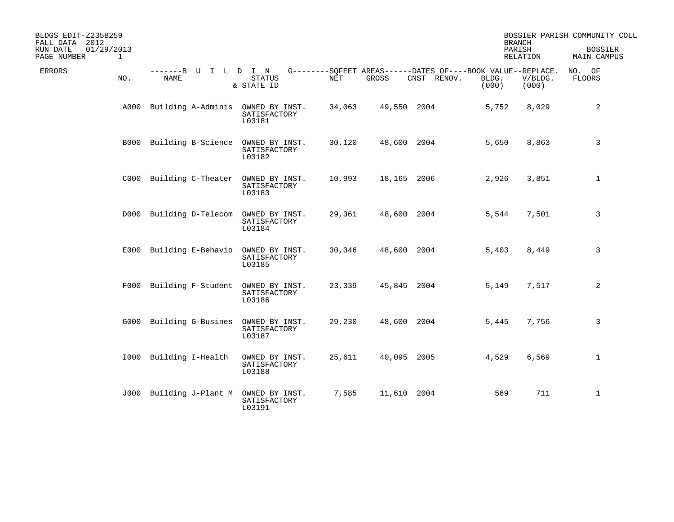| BLDGS EDIT-Z235B259<br>FALL DATA 2012<br>01/29/2013<br>RUN DATE<br>$\mathbf{1}$ |     |                                        |                                          |            |             |                                                                            | <b>BRANCH</b><br>PARISH<br>RELATION |                  | BOSSIER PARISH COMMUNITY COLL<br><b>BOSSIER</b><br>MAIN CAMPUS |
|---------------------------------------------------------------------------------|-----|----------------------------------------|------------------------------------------|------------|-------------|----------------------------------------------------------------------------|-------------------------------------|------------------|----------------------------------------------------------------|
| PAGE NUMBER<br><b>ERRORS</b>                                                    | NO. | -------B U I L D I N<br><b>NAME</b>    | <b>STATUS</b><br>& STATE ID              | <b>NET</b> | GROSS       | G--------SOFEET AREAS------DATES OF----BOOK VALUE--REPLACE.<br>CNST RENOV. | BLDG.<br>(000)                      | V/BLDG.<br>(000) | NO. OF<br><b>FLOORS</b>                                        |
|                                                                                 |     | A000 Building A-Adminis OWNED BY INST. | SATISFACTORY<br>L03181                   | 34,063     | 49,550 2004 |                                                                            | 5,752                               | 8,029            | 2                                                              |
|                                                                                 |     | B000 Building B-Science                | OWNED BY INST.<br>SATISFACTORY<br>L03182 | 30,120     |             | 48,600 2004                                                                | 5,650                               | 8,863            | 3                                                              |
|                                                                                 |     | C000 Building C-Theater OWNED BY INST. | SATISFACTORY<br>L03183                   | 10,993     | 18,165 2006 |                                                                            | 2,926                               | 3,851            | $\mathbf{1}$                                                   |
|                                                                                 |     | D000 Building D-Telecom                | OWNED BY INST.<br>SATISFACTORY<br>L03184 | 29,361     |             | 48,600 2004                                                                | 5,544                               | 7,501            | 3                                                              |
|                                                                                 |     | E000 Building E-Behavio                | OWNED BY INST.<br>SATISFACTORY<br>L03185 | 30,346     |             | 48,600 2004                                                                | 5,403                               | 8,449            | 3                                                              |
|                                                                                 |     | F000 Building F-Student                | OWNED BY INST.<br>SATISFACTORY<br>L03186 | 23,339     |             | 45,845 2004                                                                | 5,149                               | 7,517            | 2                                                              |
|                                                                                 |     | G000 Building G-Busines                | OWNED BY INST.<br>SATISFACTORY<br>L03187 | 29,230     |             | 48,600 2004                                                                | 5,445                               | 7,756            | 3                                                              |
|                                                                                 |     | 1000 Building I-Health                 | OWNED BY INST.<br>SATISFACTORY<br>L03188 | 25,611     |             | 40,095 2005                                                                | 4,529                               | 6,569            | $\mathbf{1}$                                                   |
|                                                                                 |     | J000 Building J-Plant M                | OWNED BY INST.<br>SATISFACTORY<br>L03191 | 7,585      | 11,610 2004 |                                                                            | 569                                 | 711              | $\mathbf{1}$                                                   |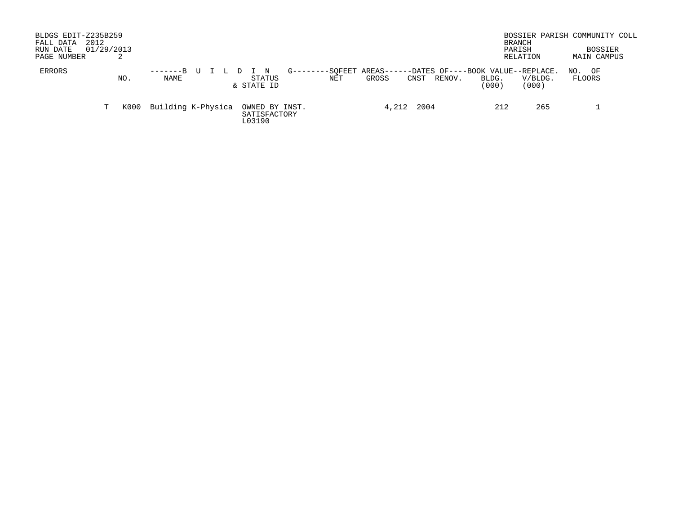| BLDGS EDIT-Z235B259<br>2012<br>FALL DATA<br>01/29/2013<br>RUN DATE<br>PAGE NUMBER |      |                    |                                                                                                                                    | BRANCH<br>PARISH<br>RELATION       | BOSSIER PARISH COMMUNITY COLL<br><b>BOSSIER</b><br>MAIN CAMPUS |
|-----------------------------------------------------------------------------------|------|--------------------|------------------------------------------------------------------------------------------------------------------------------------|------------------------------------|----------------------------------------------------------------|
| ERRORS                                                                            | NO.  | -------B<br>NAME   | AREAS--<br>-DATES OF----BOOK VALUE--REPLACE.<br>-SOFEET<br>$G - - - - -$<br>STATUS<br>NET<br>GROSS<br>RENOV.<br>CNST<br>& STATE ID | V/BLDG.<br>BLDG.<br>(000)<br>(000) | OF<br>NO.<br>FLOORS                                            |
| T.                                                                                | K000 | Building K-Physica | 2004<br>4,212<br>OWNED BY INST.<br>SATISFACTORY<br>L03190                                                                          | 212<br>265                         |                                                                |